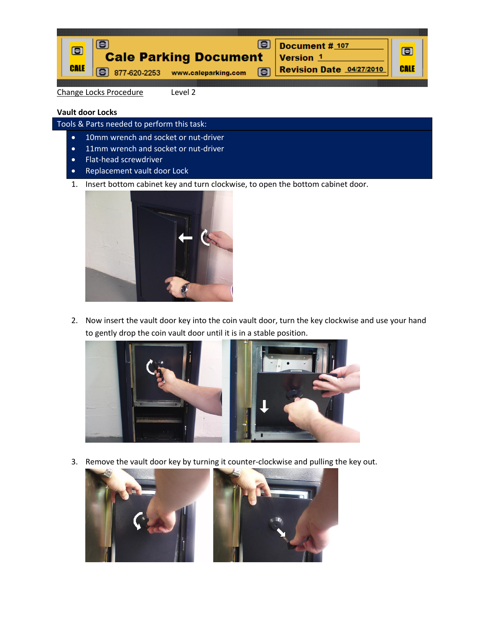

Change Locks Procedure Level 2

## **Vault door Locks**

Tools & Parts needed to perform this task:

- 10mm wrench and socket or nut-driver
- 11mm wrench and socket or nut-driver
- Flat-head screwdriver
- Replacement vault door Lock
- 1. Insert bottom cabinet key and turn clockwise, to open the bottom cabinet door.



2. Now insert the vault door key into the coin vault door, turn the key clockwise and use your hand to gently drop the coin vault door until it is in a stable position.



3. Remove the vault door key by turning it counter-clockwise and pulling the key out.

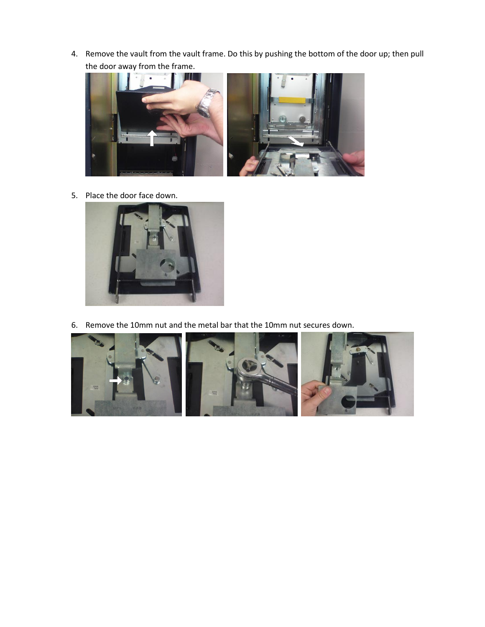4. Remove the vault from the vault frame. Do this by pushing the bottom of the door up; then pull the door away from the frame.



5. Place the door face down.



6. Remove the 10mm nut and the metal bar that the 10mm nut secures down.

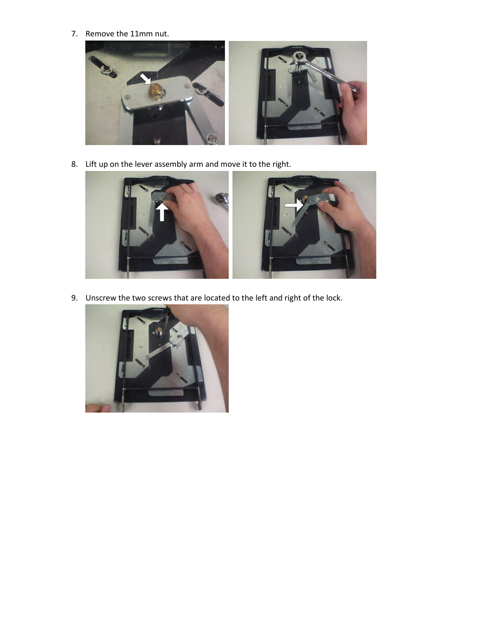7. Remove the 11mm nut.



8. Lift up on the lever assembly arm and move it to the right.



9. Unscrew the two screws that are located to the left and right of the lock.

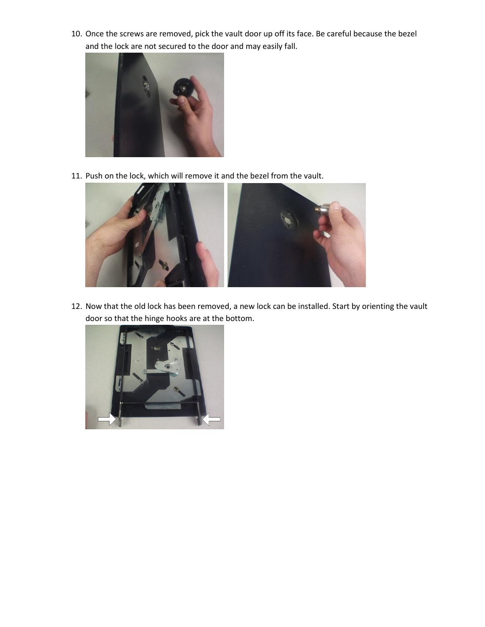10. Once the screws are removed, pick the vault door up off its face. Be careful because the bezel and the lock are not secured to the door and may easily fall.



11. Push on the lock, which will remove it and the bezel from the vault.



12. Now that the old lock has been removed, a new lock can be installed. Start by orienting the vault door so that the hinge hooks are at the bottom.

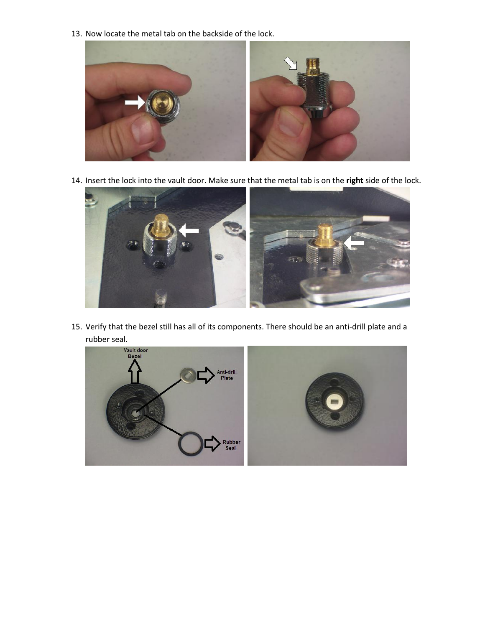13. Now locate the metal tab on the backside of the lock.



14. Insert the lock into the vault door. Make sure that the metal tab is on the **right** side of the lock.



15. Verify that the bezel still has all of its components. There should be an anti-drill plate and a rubber seal.

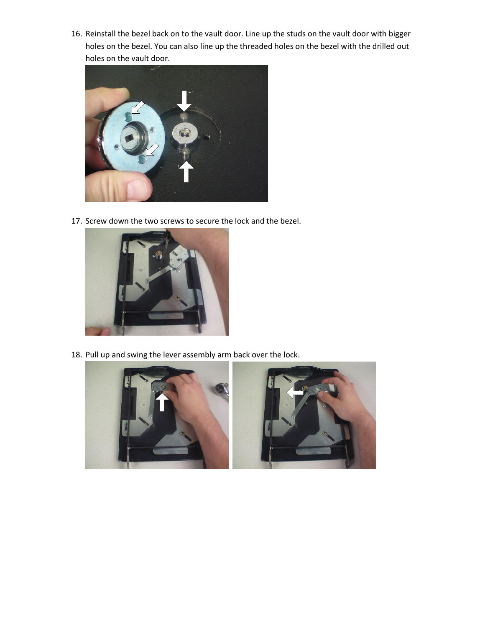16. Reinstall the bezel back on to the vault door. Line up the studs on the vault door with bigger holes on the bezel. You can also line up the threaded holes on the bezel with the drilled out holes on the vault door.



17. Screw down the two screws to secure the lock and the bezel.



18. Pull up and swing the lever assembly arm back over the lock.

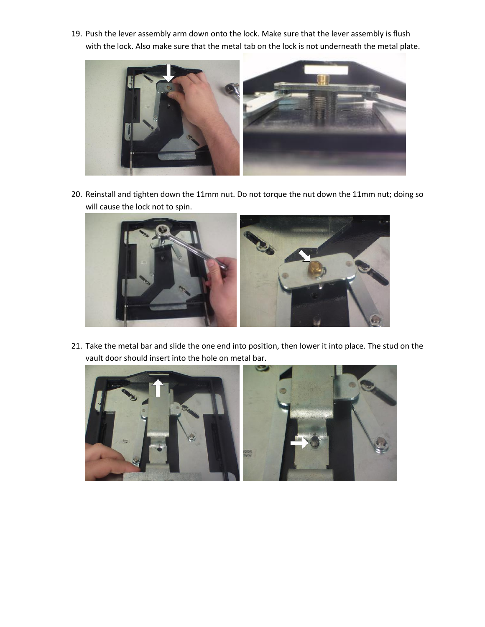19. Push the lever assembly arm down onto the lock. Make sure that the lever assembly is flush with the lock. Also make sure that the metal tab on the lock is not underneath the metal plate.



20. Reinstall and tighten down the 11mm nut. Do not torque the nut down the 11mm nut; doing so will cause the lock not to spin.



21. Take the metal bar and slide the one end into position, then lower it into place. The stud on the vault door should insert into the hole on metal bar.